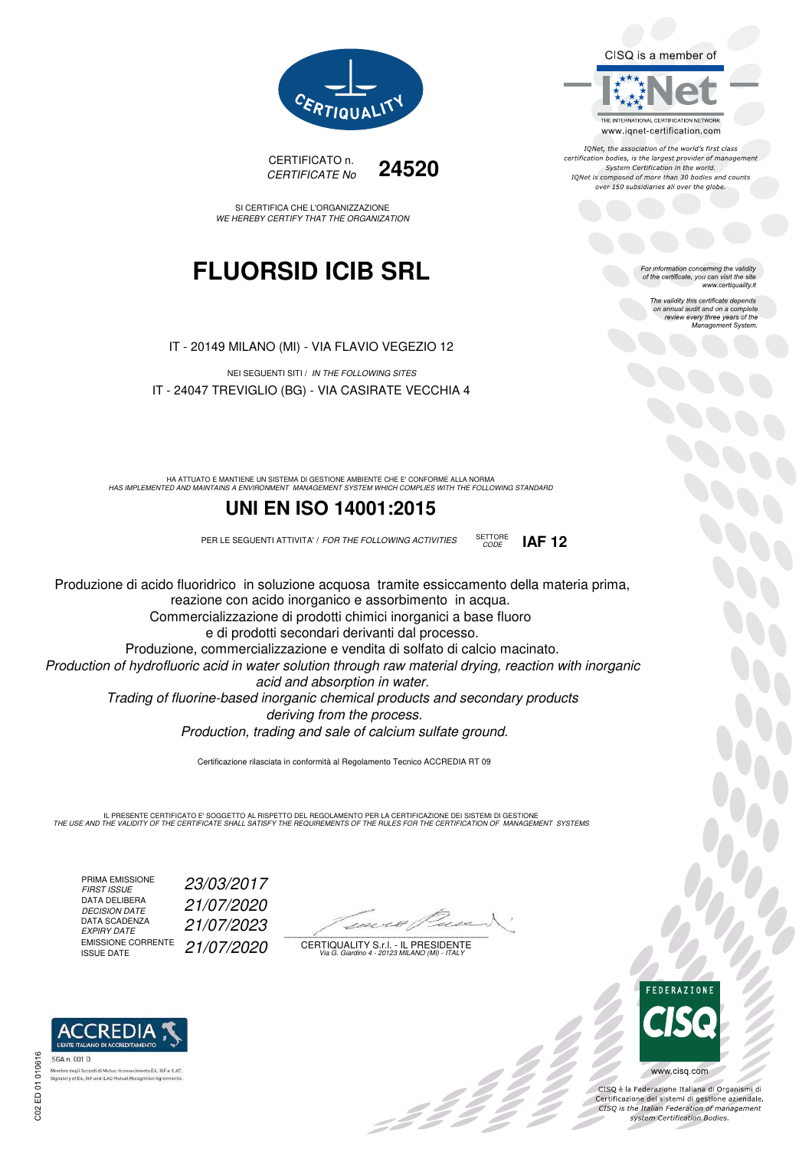CISQ is a member of



IQNet, the association of the world's first class certification bodies, is the largest provider of management System Certification in the world.<br>IQNet is composed of more than 30 bodies and counts over 150 subsidiaries all over the globe.

> For information concerning the validity<br>of the certificate, you can visit the site www.certiquality.it

> > The validity this certificate depends The validity this certificate depends<br>on annual audit and on a complete<br>review every three years of the<br>Management System.



CERTIFICATO n. CERTIFICATE No **24520** 

SI CERTIFICA CHE L'ORGANIZZAZIONE WE HEREBY CERTIFY THAT THE ORGANIZATION

## **FLUORSID ICIB SRL**

IT - 20149 MILANO (MI) - VIA FLAVIO VEGEZIO 12

NEI SEGUENTI SITI / IN THE FOLLOWING SITES IT - 24047 TREVIGLIO (BG) - VIA CASIRATE VECCHIA 4

HA ATTUATO E MANTIENE UN SISTEMA DI GESTIONE AMBIENTE CHE E' CONFORME ALLA NORMA<br>HAS IMPLEMENTED AND MAINTAINS A ENVIRONMENT MANAGEMENT SYSTEM WHICH COMPLIES WITH THE FOLLOWING STANDARD

### **UNI EN ISO 14001:2015**

PER LE SEGUENTI ATTIVITA' / FOR THE FOLLOWING ACTIVITIES SETTORE

Produzione di acido fluoridrico in soluzione acquosa tramite essiccamento della materia prima, reazione con acido inorganico e assorbimento in acqua. Commercializzazione di prodotti chimici inorganici a base fluoro e di prodotti secondari derivanti dal processo. Produzione, commercializzazione e vendita di solfato di calcio macinato.

Production of hydrofluoric acid in water solution through raw material drying, reaction with inorganic acid and absorption in water.

Trading of fluorine-based inorganic chemical products and secondary products deriving from the process.

Production, trading and sale of calcium sulfate ground.

Certificazione rilasciata in conformità al Regolamento Tecnico ACCREDIA RT 09

IL PRESENTE CERTIFICATO E' SOGGETTO AL RISPETTO DEL REGOLAMENTO PER LA CERTIFICAZIONE DEI SISTEMI DI GESTIONE<br>THE USE AND THE VALIDITY OF THE CERTIFICATE SHALL SATISFY THE REQUIREMENTS OF THE RULES FOR THE CERTIFICATION OF

PRIMA EMISSIONE<br>FIRST ISSUE DATA DELIBERA<br>DECISION DATE DATA SCADENZA<br>EXPIRY DATE EMISSIONE CORRENTE<br>ISSUE DATE FIRST ISSUE 23/03/2017 DECISION DATE 21/07/2020 EXPIRY DATE 21/07/2023 21/07/2020

 $\mathcal{L}$  and the set of the set of the set of the set of the set of the set of the set of the set of the set of the set of the set of the set of the set of the set of the set of the set of the set of the set of the set of

:42<sup>2</sup>

CERTIQUALITY S.r.l. - IL PRESIDENTE Via G. Giardino 4 - 20123 MILANO (MI) - ITALY



bo<br>Oc

www.cisq.com

CISQ è la Federazione Italiana di Organismi di CISQ e la regerazione italiana di Organismi di<br>Certificazione dei sistemi di gestione aziendale.<br>CISQ is the Italian Federation of management system Certification Bodies.



CODE **IAF 12**